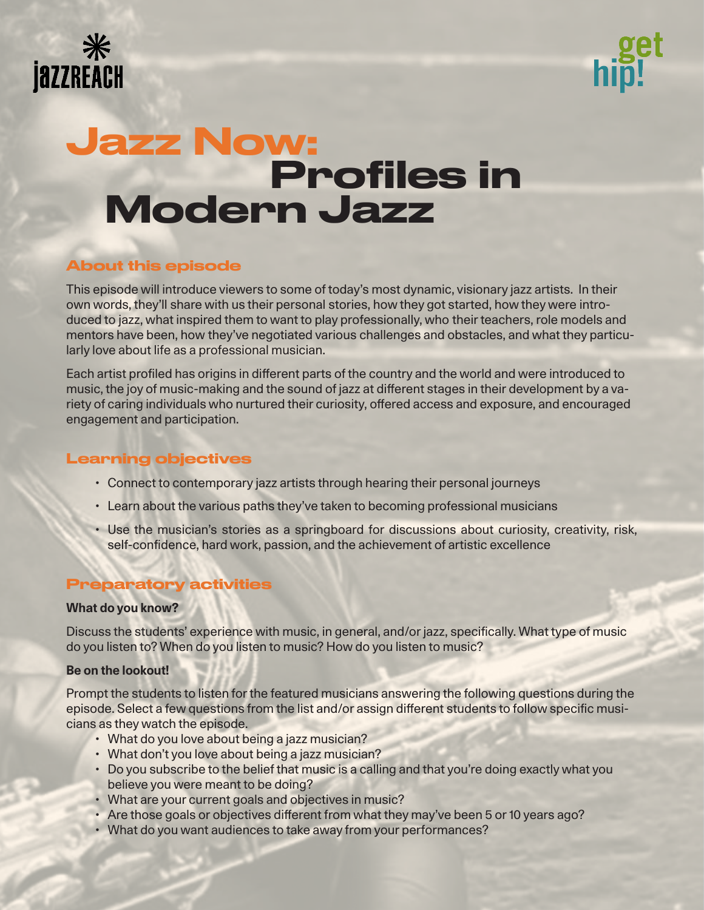



# Jazz Now: Profiles in Modern Jazz

# About this episode

This episode will introduce viewers to some of today's most dynamic, visionary jazz artists. In their own words, they'll share with us their personal stories, how they got started, how they were introduced to jazz, what inspired them to want to play professionally, who their teachers, role models and mentors have been, how they've negotiated various challenges and obstacles, and what they particularly love about life as a professional musician.

Each artist profiled has origins in different parts of the country and the world and were introduced to music, the joy of music-making and the sound of jazz at different stages in their development by a variety of caring individuals who nurtured their curiosity, offered access and exposure, and encouraged engagement and participation.

## Learning objectives

- Connect to contemporary jazz artists through hearing their personal journeys
- Learn about the various paths they've taken to becoming professional musicians
- Use the musician's stories as a springboard for discussions about curiosity, creativity, risk, self-confidence, hard work, passion, and the achievement of artistic excellence

# Preparatory activities

## **What do you know?**

Discuss the students' experience with music, in general, and/or jazz, specifically. What type of music do you listen to? When do you listen to music? How do you listen to music?

## **Be on the lookout!**

Prompt the students to listen for the featured musicians answering the following questions during the episode. Select a few questions from the list and/or assign different students to follow specific musicians as they watch the episode.

- What do you love about being a jazz musician?
- What don't you love about being a jazz musician?
- Do you subscribe to the belief that music is a calling and that you're doing exactly what you believe you were meant to be doing?
- What are your current goals and objectives in music?
- Are those goals or objectives different from what they may've been 5 or 10 years ago?
- What do you want audiences to take away from your performances?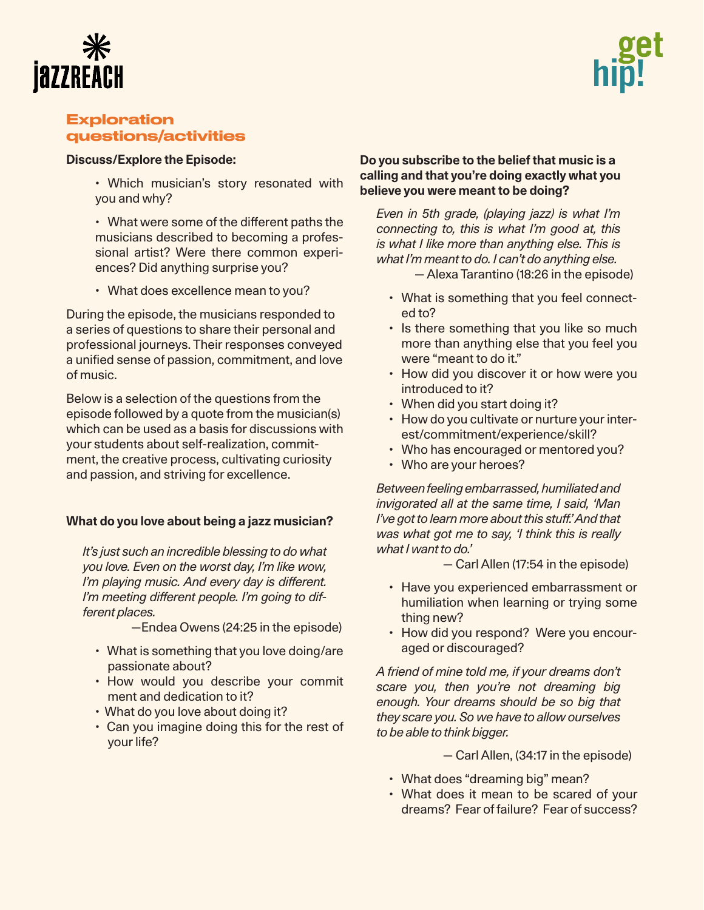



# Exploration questions/activities

## **Discuss/Explore the Episode:**

- Which musician's story resonated with you and why?
- What were some of the different paths the musicians described to becoming a professional artist? Were there common experiences? Did anything surprise you?
- What does excellence mean to you?

During the episode, the musicians responded to a series of questions to share their personal and professional journeys. Their responses conveyed a unified sense of passion, commitment, and love of music.

Below is a selection of the questions from the episode followed by a quote from the musician(s) which can be used as a basis for discussions with your students about self-realization, commitment, the creative process, cultivating curiosity and passion, and striving for excellence.

## **What do you love about being a jazz musician?**

*It's just such an incredible blessing to do what you love. Even on the worst day, I'm like wow, I'm playing music. And every day is different. I'm meeting different people. I'm going to different places.*

—Endea Owens (24:25 in the episode)

- What is something that you love doing/are passionate about?
- How would you describe your commit ment and dedication to it?
- What do you love about doing it?
- Can you imagine doing this for the rest of your life?

## **Do you subscribe to the belief that music is a calling and that you're doing exactly what you believe you were meant to be doing?**

*Even in 5th grade, (playing jazz) is what I'm connecting to, this is what I'm good at, this is what I like more than anything else. This is what I'm meant to do. I can't do anything else.*

— Alexa Tarantino (18:26 in the episode)

- What is something that you feel connected to?
- Is there something that you like so much more than anything else that you feel you were "meant to do it."
- How did you discover it or how were you introduced to it?
- When did you start doing it?
- How do you cultivate or nurture your interest/commitment/experience/skill?
- Who has encouraged or mentored you?
- Who are your heroes?

*Between feeling embarrassed, humiliated and invigorated all at the same time, I said, 'Man I've got to learn more about this stuff.' And that was what got me to say, 'I think this is really what I want to do.'*

- Carl Allen (17:54 in the episode)
- Have you experienced embarrassment or humiliation when learning or trying some thing new?
- How did you respond? Were you encouraged or discouraged?

*A friend of mine told me, if your dreams don't scare you, then you're not dreaming big enough. Your dreams should be so big that they scare you. So we have to allow ourselves to be able to think bigger.*

— Carl Allen, (34:17 in the episode)

- What does "dreaming big" mean?
- What does it mean to be scared of your dreams? Fear of failure? Fear of success?